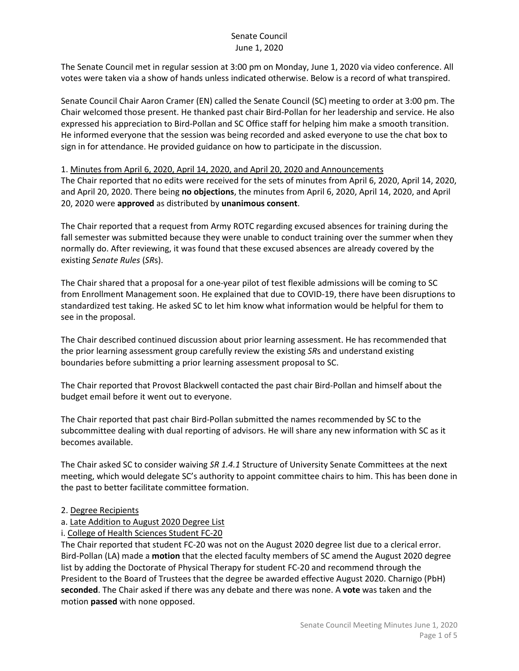The Senate Council met in regular session at 3:00 pm on Monday, June 1, 2020 via video conference. All votes were taken via a show of hands unless indicated otherwise. Below is a record of what transpired.

Senate Council Chair Aaron Cramer (EN) called the Senate Council (SC) meeting to order at 3:00 pm. The Chair welcomed those present. He thanked past chair Bird-Pollan for her leadership and service. He also expressed his appreciation to Bird-Pollan and SC Office staff for helping him make a smooth transition. He informed everyone that the session was being recorded and asked everyone to use the chat box to sign in for attendance. He provided guidance on how to participate in the discussion.

#### 1. Minutes from April 6, 2020, April 14, 2020, and April 20, 2020 and Announcements

The Chair reported that no edits were received for the sets of minutes from April 6, 2020, April 14, 2020, and April 20, 2020. There being **no objections**, the minutes from April 6, 2020, April 14, 2020, and April 20, 2020 were **approved** as distributed by **unanimous consent**.

The Chair reported that a request from Army ROTC regarding excused absences for training during the fall semester was submitted because they were unable to conduct training over the summer when they normally do. After reviewing, it was found that these excused absences are already covered by the existing *Senate Rules* (*SR*s).

The Chair shared that a proposal for a one-year pilot of test flexible admissions will be coming to SC from Enrollment Management soon. He explained that due to COVID-19, there have been disruptions to standardized test taking. He asked SC to let him know what information would be helpful for them to see in the proposal.

The Chair described continued discussion about prior learning assessment. He has recommended that the prior learning assessment group carefully review the existing *SR*s and understand existing boundaries before submitting a prior learning assessment proposal to SC.

The Chair reported that Provost Blackwell contacted the past chair Bird-Pollan and himself about the budget email before it went out to everyone.

The Chair reported that past chair Bird-Pollan submitted the names recommended by SC to the subcommittee dealing with dual reporting of advisors. He will share any new information with SC as it becomes available.

The Chair asked SC to consider waiving *SR 1.4.1* Structure of University Senate Committees at the next meeting, which would delegate SC's authority to appoint committee chairs to him. This has been done in the past to better facilitate committee formation.

#### 2. Degree Recipients

# a. Late Addition to August 2020 Degree List

# i. College of Health Sciences Student FC-20

The Chair reported that student FC-20 was not on the August 2020 degree list due to a clerical error. Bird-Pollan (LA) made a **motion** that the elected faculty members of SC amend the August 2020 degree list by adding the Doctorate of Physical Therapy for student FC-20 and recommend through the President to the Board of Trustees that the degree be awarded effective August 2020. Charnigo (PbH) **seconded**. The Chair asked if there was any debate and there was none. A **vote** was taken and the motion **passed** with none opposed.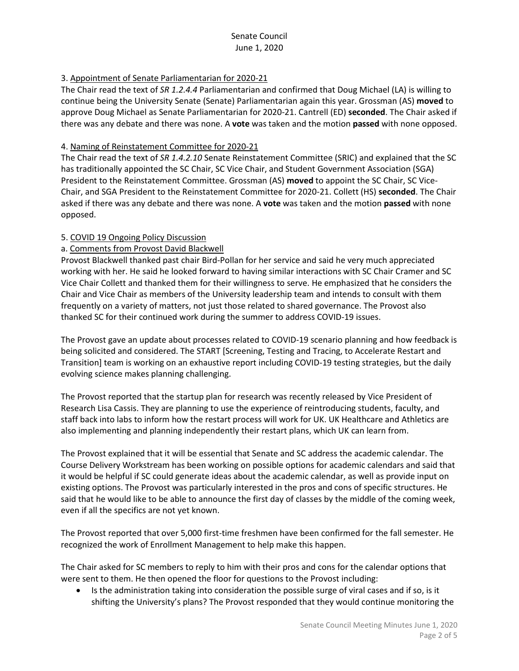# 3. Appointment of Senate Parliamentarian for 2020-21

The Chair read the text of *SR 1.2.4.4* Parliamentarian and confirmed that Doug Michael (LA) is willing to continue being the University Senate (Senate) Parliamentarian again this year. Grossman (AS) **moved** to approve Doug Michael as Senate Parliamentarian for 2020-21. Cantrell (ED) **seconded**. The Chair asked if there was any debate and there was none. A **vote** was taken and the motion **passed** with none opposed.

# 4. Naming of Reinstatement Committee for 2020-21

The Chair read the text of *SR 1.4.2.10* Senate Reinstatement Committee (SRIC) and explained that the SC has traditionally appointed the SC Chair, SC Vice Chair, and Student Government Association (SGA) President to the Reinstatement Committee. Grossman (AS) **moved** to appoint the SC Chair, SC Vice-Chair, and SGA President to the Reinstatement Committee for 2020-21. Collett (HS) **seconded**. The Chair asked if there was any debate and there was none. A **vote** was taken and the motion **passed** with none opposed.

# 5. COVID 19 Ongoing Policy Discussion

#### a. Comments from Provost David Blackwell

Provost Blackwell thanked past chair Bird-Pollan for her service and said he very much appreciated working with her. He said he looked forward to having similar interactions with SC Chair Cramer and SC Vice Chair Collett and thanked them for their willingness to serve. He emphasized that he considers the Chair and Vice Chair as members of the University leadership team and intends to consult with them frequently on a variety of matters, not just those related to shared governance. The Provost also thanked SC for their continued work during the summer to address COVID-19 issues.

The Provost gave an update about processes related to COVID-19 scenario planning and how feedback is being solicited and considered. The START [Screening, Testing and Tracing, to Accelerate Restart and Transition] team is working on an exhaustive report including COVID-19 testing strategies, but the daily evolving science makes planning challenging.

The Provost reported that the startup plan for research was recently released by Vice President of Research Lisa Cassis. They are planning to use the experience of reintroducing students, faculty, and staff back into labs to inform how the restart process will work for UK. UK Healthcare and Athletics are also implementing and planning independently their restart plans, which UK can learn from.

The Provost explained that it will be essential that Senate and SC address the academic calendar. The Course Delivery Workstream has been working on possible options for academic calendars and said that it would be helpful if SC could generate ideas about the academic calendar, as well as provide input on existing options. The Provost was particularly interested in the pros and cons of specific structures. He said that he would like to be able to announce the first day of classes by the middle of the coming week, even if all the specifics are not yet known.

The Provost reported that over 5,000 first-time freshmen have been confirmed for the fall semester. He recognized the work of Enrollment Management to help make this happen.

The Chair asked for SC members to reply to him with their pros and cons for the calendar options that were sent to them. He then opened the floor for questions to the Provost including:

• Is the administration taking into consideration the possible surge of viral cases and if so, is it shifting the University's plans? The Provost responded that they would continue monitoring the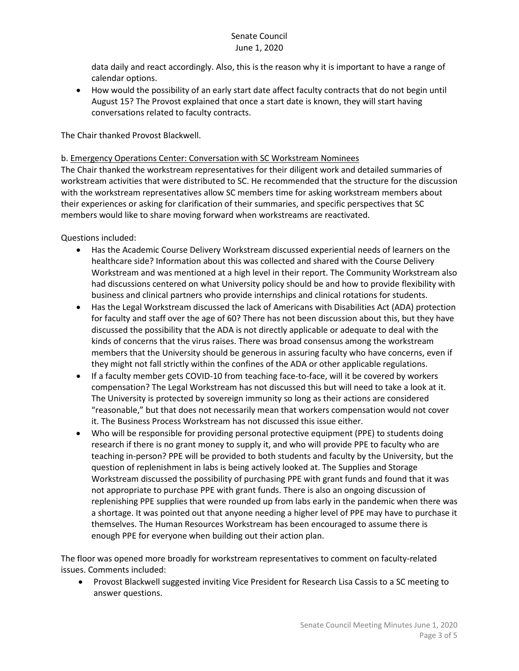data daily and react accordingly. Also, this is the reason why it is important to have a range of calendar options.

• How would the possibility of an early start date affect faculty contracts that do not begin until August 15? The Provost explained that once a start date is known, they will start having conversations related to faculty contracts.

The Chair thanked Provost Blackwell.

# b. Emergency Operations Center: Conversation with SC Workstream Nominees

The Chair thanked the workstream representatives for their diligent work and detailed summaries of workstream activities that were distributed to SC. He recommended that the structure for the discussion with the workstream representatives allow SC members time for asking workstream members about their experiences or asking for clarification of their summaries, and specific perspectives that SC members would like to share moving forward when workstreams are reactivated.

Questions included:

- Has the Academic Course Delivery Workstream discussed experiential needs of learners on the healthcare side? Information about this was collected and shared with the Course Delivery Workstream and was mentioned at a high level in their report. The Community Workstream also had discussions centered on what University policy should be and how to provide flexibility with business and clinical partners who provide internships and clinical rotations for students.
- Has the Legal Workstream discussed the lack of Americans with Disabilities Act (ADA) protection for faculty and staff over the age of 60? There has not been discussion about this, but they have discussed the possibility that the ADA is not directly applicable or adequate to deal with the kinds of concerns that the virus raises. There was broad consensus among the workstream members that the University should be generous in assuring faculty who have concerns, even if they might not fall strictly within the confines of the ADA or other applicable regulations.
- If a faculty member gets COVID-10 from teaching face-to-face, will it be covered by workers compensation? The Legal Workstream has not discussed this but will need to take a look at it. The University is protected by sovereign immunity so long as their actions are considered "reasonable," but that does not necessarily mean that workers compensation would not cover it. The Business Process Workstream has not discussed this issue either.
- Who will be responsible for providing personal protective equipment (PPE) to students doing research if there is no grant money to supply it, and who will provide PPE to faculty who are teaching in-person? PPE will be provided to both students and faculty by the University, but the question of replenishment in labs is being actively looked at. The Supplies and Storage Workstream discussed the possibility of purchasing PPE with grant funds and found that it was not appropriate to purchase PPE with grant funds. There is also an ongoing discussion of replenishing PPE supplies that were rounded up from labs early in the pandemic when there was a shortage. It was pointed out that anyone needing a higher level of PPE may have to purchase it themselves. The Human Resources Workstream has been encouraged to assume there is enough PPE for everyone when building out their action plan.

The floor was opened more broadly for workstream representatives to comment on faculty-related issues. Comments included:

• Provost Blackwell suggested inviting Vice President for Research Lisa Cassis to a SC meeting to answer questions.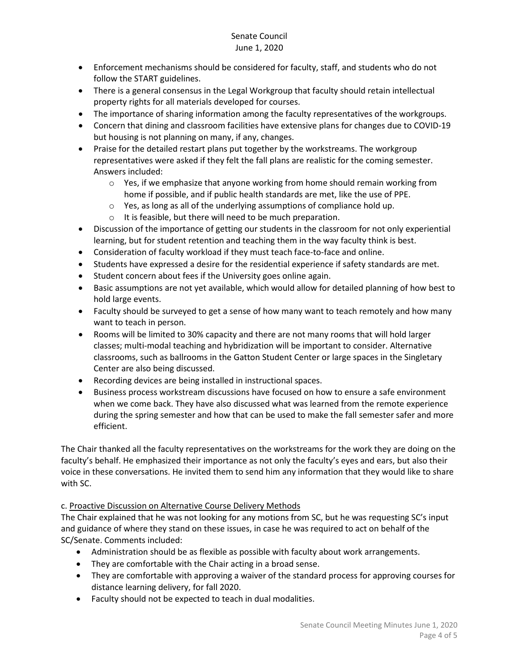- Enforcement mechanisms should be considered for faculty, staff, and students who do not follow the START guidelines.
- There is a general consensus in the Legal Workgroup that faculty should retain intellectual property rights for all materials developed for courses.
- The importance of sharing information among the faculty representatives of the workgroups.
- Concern that dining and classroom facilities have extensive plans for changes due to COVID-19 but housing is not planning on many, if any, changes.
- Praise for the detailed restart plans put together by the workstreams. The workgroup representatives were asked if they felt the fall plans are realistic for the coming semester. Answers included:
	- $\circ$  Yes, if we emphasize that anyone working from home should remain working from home if possible, and if public health standards are met, like the use of PPE.
	- o Yes, as long as all of the underlying assumptions of compliance hold up.
	- o It is feasible, but there will need to be much preparation.
- Discussion of the importance of getting our students in the classroom for not only experiential learning, but for student retention and teaching them in the way faculty think is best.
- Consideration of faculty workload if they must teach face-to-face and online.
- Students have expressed a desire for the residential experience if safety standards are met.
- Student concern about fees if the University goes online again.
- Basic assumptions are not yet available, which would allow for detailed planning of how best to hold large events.
- Faculty should be surveyed to get a sense of how many want to teach remotely and how many want to teach in person.
- Rooms will be limited to 30% capacity and there are not many rooms that will hold larger classes; multi-modal teaching and hybridization will be important to consider. Alternative classrooms, such as ballrooms in the Gatton Student Center or large spaces in the Singletary Center are also being discussed.
- Recording devices are being installed in instructional spaces.
- Business process workstream discussions have focused on how to ensure a safe environment when we come back. They have also discussed what was learned from the remote experience during the spring semester and how that can be used to make the fall semester safer and more efficient.

The Chair thanked all the faculty representatives on the workstreams for the work they are doing on the faculty's behalf. He emphasized their importance as not only the faculty's eyes and ears, but also their voice in these conversations. He invited them to send him any information that they would like to share with SC.

# c. Proactive Discussion on Alternative Course Delivery Methods

The Chair explained that he was not looking for any motions from SC, but he was requesting SC's input and guidance of where they stand on these issues, in case he was required to act on behalf of the SC/Senate. Comments included:

- Administration should be as flexible as possible with faculty about work arrangements.
- They are comfortable with the Chair acting in a broad sense.
- They are comfortable with approving a waiver of the standard process for approving courses for distance learning delivery, for fall 2020.
- Faculty should not be expected to teach in dual modalities.